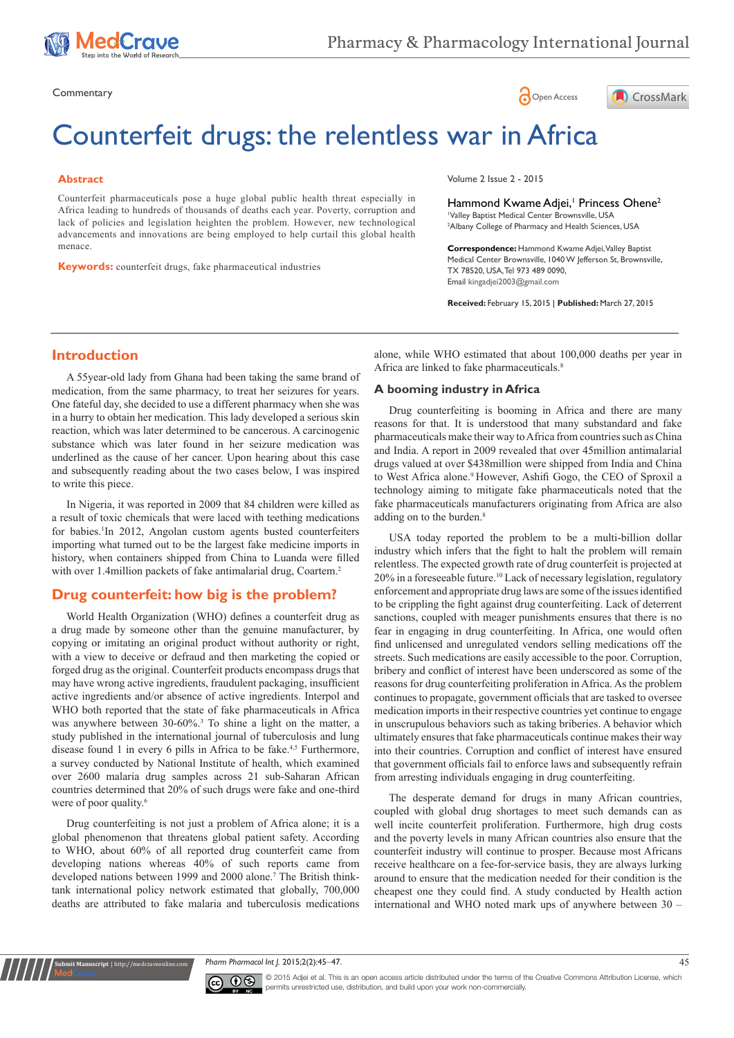





# Counterfeit drugs: the relentless war in Africa

#### **Abstract**

Counterfeit pharmaceuticals pose a huge global public health threat especially in Africa leading to hundreds of thousands of deaths each year. Poverty, corruption and lack of policies and legislation heighten the problem. However, new technological advancements and innovations are being employed to help curtail this global health menace.

**Keywords:** counterfeit drugs, fake pharmaceutical industries

Volume 2 Issue 2 - 2015

Hammond Kwame Adjei,<sup>1</sup> Princess Ohene<sup>2</sup> 1 Valley Baptist Medical Center Brownsville, USA <sup>2</sup>Albany College of Pharmacy and Health Sciences, USA

**Correspondence:** Hammond Kwame Adjei, Valley Baptist Medical Center Brownsville, 1040 W Jefferson St, Brownsville, TX 78520, USA, Tel 973 489 0090, Email kingadjei2003@gmail.com

**Received:** February 15, 2015 | **Published:** March 27, 2015

# **Introduction**

A 55year-old lady from Ghana had been taking the same brand of medication, from the same pharmacy, to treat her seizures for years. One fateful day, she decided to use a different pharmacy when she was in a hurry to obtain her medication. This lady developed a serious skin reaction, which was later determined to be cancerous. A carcinogenic substance which was later found in her seizure medication was underlined as the cause of her cancer. Upon hearing about this case and subsequently reading about the two cases below, I was inspired to write this piece.

In Nigeria, it was reported in 2009 that 84 children were killed as a result of toxic chemicals that were laced with teething medications for babies.<sup>1</sup>In 2012, Angolan custom agents busted counterfeiters importing what turned out to be the largest fake medicine imports in history, when containers shipped from China to Luanda were filled with over 1.4million packets of fake antimalarial drug, Coartem.<sup>2</sup>

# **Drug counterfeit: how big is the problem?**

World Health Organization (WHO) defines a counterfeit drug as a drug made by someone other than the genuine manufacturer, by copying or imitating an original product without authority or right, with a view to deceive or defraud and then marketing the copied or forged drug as the original. Counterfeit products encompass drugs that may have wrong active ingredients, fraudulent packaging, insufficient active ingredients and/or absence of active ingredients. Interpol and WHO both reported that the state of fake pharmaceuticals in Africa was anywhere between 30-60%.<sup>3</sup> To shine a light on the matter, a study published in the international journal of tuberculosis and lung disease found 1 in every 6 pills in Africa to be fake.<sup>4,5</sup> Furthermore, a survey conducted by National Institute of health, which examined over 2600 malaria drug samples across 21 sub-Saharan African countries determined that 20% of such drugs were fake and one-third were of poor quality.<sup>6</sup>

Drug counterfeiting is not just a problem of Africa alone; it is a global phenomenon that threatens global patient safety. According to WHO, about 60% of all reported drug counterfeit came from developing nations whereas 40% of such reports came from developed nations between 1999 and 2000 alone.<sup>7</sup> The British thinktank international policy network estimated that globally, 700,000 deaths are attributed to fake malaria and tuberculosis medications

**nit Manuscript** | http://medcrave

alone, while WHO estimated that about 100,000 deaths per year in Africa are linked to fake pharmaceuticals.<sup>8</sup>

#### **A booming industry in Africa**

Drug counterfeiting is booming in Africa and there are many reasons for that. It is understood that many substandard and fake pharmaceuticals make their way to Africa from countries such as China and India. A report in 2009 revealed that over 45million antimalarial drugs valued at over \$438million were shipped from India and China to West Africa alone.<sup>9</sup> However, Ashifi Gogo, the CEO of Sproxil a technology aiming to mitigate fake pharmaceuticals noted that the fake pharmaceuticals manufacturers originating from Africa are also adding on to the burden.<sup>8</sup>

USA today reported the problem to be a multi-billion dollar industry which infers that the fight to halt the problem will remain relentless. The expected growth rate of drug counterfeit is projected at  $20\%$  in a foreseeable future.<sup>10</sup> Lack of necessary legislation, regulatory enforcement and appropriate drug laws are some of the issues identified to be crippling the fight against drug counterfeiting. Lack of deterrent sanctions, coupled with meager punishments ensures that there is no fear in engaging in drug counterfeiting. In Africa, one would often find unlicensed and unregulated vendors selling medications off the streets. Such medications are easily accessible to the poor. Corruption, bribery and conflict of interest have been underscored as some of the reasons for drug counterfeiting proliferation in Africa. As the problem continues to propagate, government officials that are tasked to oversee medication imports in their respective countries yet continue to engage in unscrupulous behaviors such as taking briberies. A behavior which ultimately ensures that fake pharmaceuticals continue makes their way into their countries. Corruption and conflict of interest have ensured that government officials fail to enforce laws and subsequently refrain from arresting individuals engaging in drug counterfeiting.

The desperate demand for drugs in many African countries, coupled with global drug shortages to meet such demands can as well incite counterfeit proliferation. Furthermore, high drug costs and the poverty levels in many African countries also ensure that the counterfeit industry will continue to prosper. Because most Africans receive healthcare on a fee-for-service basis, they are always lurking around to ensure that the medication needed for their condition is the cheapest one they could find. A study conducted by Health action international and WHO noted mark ups of anywhere between 30 –

*Pharm Pharmacol Int J.* 2015;2(2):45‒47. 45



© 2015 Adjei et al. This is an open access article distributed under the terms of the [Creative Commons Attribution License](https://creativecommons.org/licenses/by-nc/4.0/), which permits unrestricted use, distribution, and build upon your work non-commercially.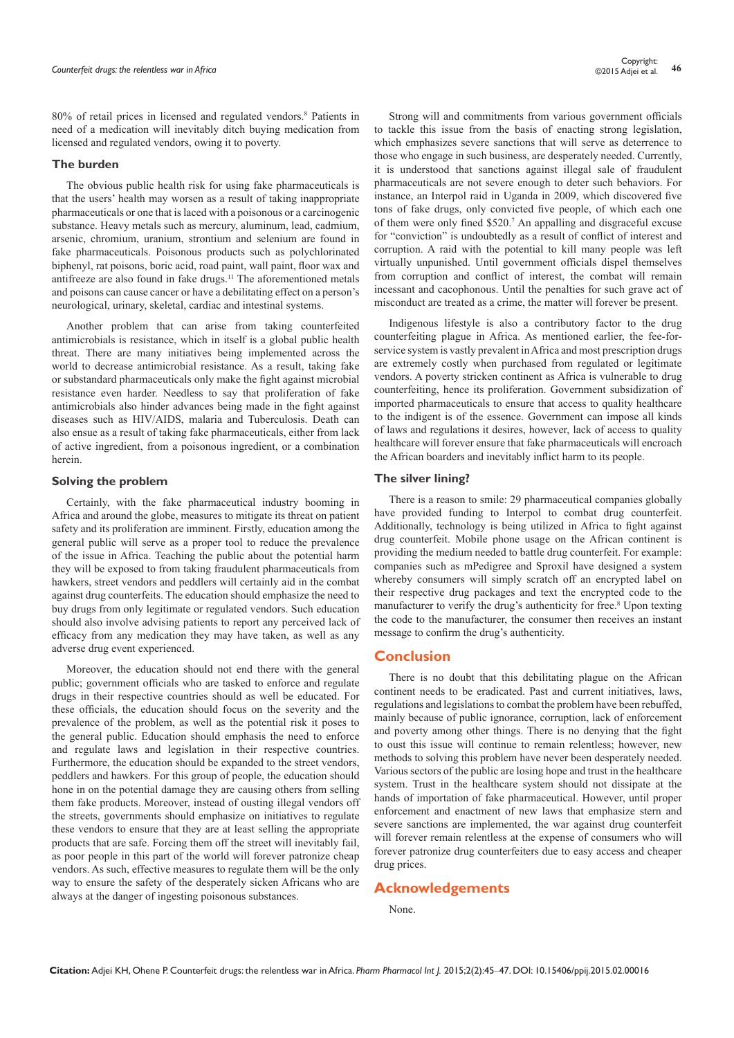80% of retail prices in licensed and regulated vendors.<sup>8</sup> Patients in need of a medication will inevitably ditch buying medication from licensed and regulated vendors, owing it to poverty.

#### **The burden**

The obvious public health risk for using fake pharmaceuticals is that the users' health may worsen as a result of taking inappropriate pharmaceuticals or one that is laced with a poisonous or a carcinogenic substance. Heavy metals such as mercury, aluminum, lead, cadmium, arsenic, chromium, uranium, strontium and selenium are found in fake pharmaceuticals. Poisonous products such as polychlorinated biphenyl, rat poisons, boric acid, road paint, wall paint, floor wax and antifreeze are also found in fake drugs.<sup>11</sup> The aforementioned metals and poisons can cause cancer or have a debilitating effect on a person's neurological, urinary, skeletal, cardiac and intestinal systems.

Another problem that can arise from taking counterfeited antimicrobials is resistance, which in itself is a global public health threat. There are many initiatives being implemented across the world to decrease antimicrobial resistance. As a result, taking fake or substandard pharmaceuticals only make the fight against microbial resistance even harder. Needless to say that proliferation of fake antimicrobials also hinder advances being made in the fight against diseases such as HIV/AIDS, malaria and Tuberculosis. Death can also ensue as a result of taking fake pharmaceuticals, either from lack of active ingredient, from a poisonous ingredient, or a combination herein.

#### **Solving the problem**

Certainly, with the fake pharmaceutical industry booming in Africa and around the globe, measures to mitigate its threat on patient safety and its proliferation are imminent. Firstly, education among the general public will serve as a proper tool to reduce the prevalence of the issue in Africa. Teaching the public about the potential harm they will be exposed to from taking fraudulent pharmaceuticals from hawkers, street vendors and peddlers will certainly aid in the combat against drug counterfeits. The education should emphasize the need to buy drugs from only legitimate or regulated vendors. Such education should also involve advising patients to report any perceived lack of efficacy from any medication they may have taken, as well as any adverse drug event experienced.

Moreover, the education should not end there with the general public; government officials who are tasked to enforce and regulate drugs in their respective countries should as well be educated. For these officials, the education should focus on the severity and the prevalence of the problem, as well as the potential risk it poses to the general public. Education should emphasis the need to enforce and regulate laws and legislation in their respective countries. Furthermore, the education should be expanded to the street vendors, peddlers and hawkers. For this group of people, the education should hone in on the potential damage they are causing others from selling them fake products. Moreover, instead of ousting illegal vendors off the streets, governments should emphasize on initiatives to regulate these vendors to ensure that they are at least selling the appropriate products that are safe. Forcing them off the street will inevitably fail, as poor people in this part of the world will forever patronize cheap vendors. As such, effective measures to regulate them will be the only way to ensure the safety of the desperately sicken Africans who are always at the danger of ingesting poisonous substances.

Strong will and commitments from various government officials to tackle this issue from the basis of enacting strong legislation, which emphasizes severe sanctions that will serve as deterrence to those who engage in such business, are desperately needed. Currently, it is understood that sanctions against illegal sale of fraudulent pharmaceuticals are not severe enough to deter such behaviors. For instance, an Interpol raid in Uganda in 2009, which discovered five tons of fake drugs, only convicted five people, of which each one of them were only fined \$520.<sup>7</sup> An appalling and disgraceful excuse for "conviction" is undoubtedly as a result of conflict of interest and corruption. A raid with the potential to kill many people was left virtually unpunished. Until government officials dispel themselves from corruption and conflict of interest, the combat will remain incessant and cacophonous. Until the penalties for such grave act of misconduct are treated as a crime, the matter will forever be present.

Indigenous lifestyle is also a contributory factor to the drug counterfeiting plague in Africa. As mentioned earlier, the fee-forservice system is vastly prevalent in Africa and most prescription drugs are extremely costly when purchased from regulated or legitimate vendors. A poverty stricken continent as Africa is vulnerable to drug counterfeiting, hence its proliferation. Government subsidization of imported pharmaceuticals to ensure that access to quality healthcare to the indigent is of the essence. Government can impose all kinds of laws and regulations it desires, however, lack of access to quality healthcare will forever ensure that fake pharmaceuticals will encroach the African boarders and inevitably inflict harm to its people.

## **The silver lining?**

There is a reason to smile: 29 pharmaceutical companies globally have provided funding to Interpol to combat drug counterfeit. Additionally, technology is being utilized in Africa to fight against drug counterfeit. Mobile phone usage on the African continent is providing the medium needed to battle drug counterfeit. For example: companies such as mPedigree and Sproxil have designed a system whereby consumers will simply scratch off an encrypted label on their respective drug packages and text the encrypted code to the manufacturer to verify the drug's authenticity for free.<sup>8</sup> Upon texting the code to the manufacturer, the consumer then receives an instant message to confirm the drug's authenticity.

### **Conclusion**

There is no doubt that this debilitating plague on the African continent needs to be eradicated. Past and current initiatives, laws, regulations and legislations to combat the problem have been rebuffed, mainly because of public ignorance, corruption, lack of enforcement and poverty among other things. There is no denying that the fight to oust this issue will continue to remain relentless; however, new methods to solving this problem have never been desperately needed. Various sectors of the public are losing hope and trust in the healthcare system. Trust in the healthcare system should not dissipate at the hands of importation of fake pharmaceutical. However, until proper enforcement and enactment of new laws that emphasize stern and severe sanctions are implemented, the war against drug counterfeit will forever remain relentless at the expense of consumers who will forever patronize drug counterfeiters due to easy access and cheaper drug prices.

# **Acknowledgements**

None.